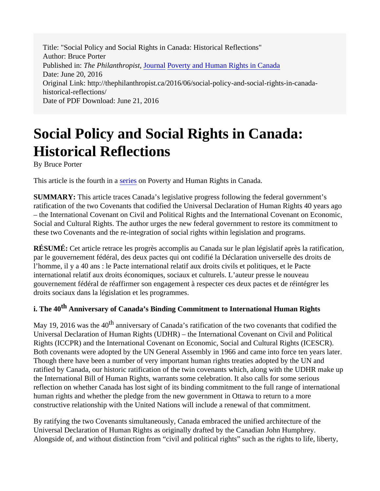Title: "Social Policy and Social Rights in Canada: Historical Reflections" Author: Bruce Porter Published in: *The Philanthropist*, [Journal](http://thephilanthropist.ca/category/journal/) [Poverty and Human Rights in Canada](http://thephilanthropist.ca/category/poverty-and-human-rights-in-canada/) Date: June 20, 2016 Original Link: http://thephilanthropist.ca/2016/06/social-policy-and-social-rights-in-canadahistorical-reflections/ Date of PDF Download: June 21, 2016

# **Social Policy and Social Rights in Canada: Historical Reflections**

By Bruce Porter

This article is the fourth in a [series](http://thephilanthropist.ca/category/poverty-and-human-rights-in-canada/) on Poverty and Human Rights in Canada.

**SUMMARY:** This article traces Canada's legislative progress following the federal government's ratification of the two Covenants that codified the Universal Declaration of Human Rights 40 years ago – the International Covenant on Civil and Political Rights and the International Covenant on Economic, Social and Cultural Rights. The author urges the new federal government to restore its commitment to these two Covenants and the re-integration of social rights within legislation and programs.

**RÉSUMÉ:** Cet article retrace les progrès accomplis au Canada sur le plan législatif après la ratification, par le gouvernement fédéral, des deux pactes qui ont codifié la Déclaration universelle des droits de l'homme, il y a 40 ans : le Pacte international relatif aux droits civils et politiques, et le Pacte international relatif aux droits économiques, sociaux et culturels. L'auteur presse le nouveau gouvernement fédéral de réaffirmer son engagement à respecter ces deux pactes et de réintégrer les droits sociaux dans la législation et les programmes.

## **i. The 40th Anniversary of Canada's Binding Commitment to International Human Rights**

May 19, 2016 was the 40<sup>th</sup> anniversary of Canada's ratification of the two covenants that codified the Universal Declaration of Human Rights (UDHR) – the International Covenant on Civil and Political Rights (ICCPR) and the International Covenant on Economic, Social and Cultural Rights (ICESCR). Both covenants were adopted by the UN General Assembly in 1966 and came into force ten years later. Though there have been a number of very important human rights treaties adopted by the UN and ratified by Canada, our historic ratification of the twin covenants which, along with the UDHR make up the International Bill of Human Rights, warrants some celebration. It also calls for some serious reflection on whether Canada has lost sight of its binding commitment to the full range of international human rights and whether the pledge from the new government in Ottawa to return to a more constructive relationship with the United Nations will include a renewal of that commitment.

By ratifying the two Covenants simultaneously, Canada embraced the unified architecture of the Universal Declaration of Human Rights as originally drafted by the Canadian John Humphrey. Alongside of, and without distinction from "civil and political rights" such as the rights to life, liberty,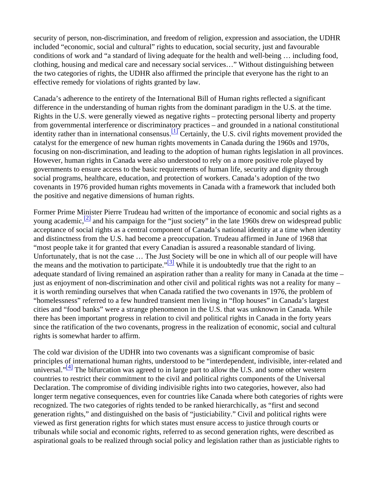security of person, non-discrimination, and freedom of religion, expression and association, the UDHR included "economic, social and cultural" rights to education, social security, just and favourable conditions of work and "a standard of living adequate for the health and well-being … including food, clothing, housing and medical care and necessary social services…" Without distinguishing between the two categories of rights, the UDHR also affirmed the principle that everyone has the right to an effective remedy for violations of rights granted by law.

Canada's adherence to the entirety of the International Bill of Human rights reflected a significant difference in the understanding of human rights from the dominant paradigm in the U.S. at the time. Rights in the U.S. were generally viewed as negative rights – protecting personal liberty and property from governmental interference or discriminatory practices – and grounded in a national constitutional identity rather than in international consensus.  $\frac{[1]}{[1]}$  Certainly, the U.S. civil rights movement provided the catalyst for the emergence of new human rights movements in Canada during the 1960s and 1970s, focusing on non-discrimination, and leading to the adoption of human rights legislation in all provinces. However, human rights in Canada were also understood to rely on a more positive role played by governments to ensure access to the basic requirements of human life, security and dignity through social programs, healthcare, education, and protection of workers. Canada's adoption of the two covenants in 1976 provided human rights movements in Canada with a framework that included both the positive and negative dimensions of human rights.

Former Prime Minister Pierre Trudeau had written of the importance of economic and social rights as a voung academic,  $\frac{[2]}{[2]}$  and his campaign for the "just society" in the late 1960s drew on widespread public acceptance of social rights as a central component of Canada's national identity at a time when identity and distinctness from the U.S. had become a preoccupation. Trudeau affirmed in June of 1968 that "most people take it for granted that every Canadian is assured a reasonable standard of living. Unfortunately, that is not the case … The Just Society will be one in which all of our people will have the means and the motivation to participate.<sup> $\frac{3}{3}$ </sup> While it is undoubtedly true that the right to an adequate standard of living remained an aspiration rather than a reality for many in Canada at the time – just as enjoyment of non-discrimination and other civil and political rights was not a reality for many – it is worth reminding ourselves that when Canada ratified the two covenants in 1976, the problem of "homelessness" referred to a few hundred transient men living in "flop houses" in Canada's largest cities and "food banks" were a strange phenomenon in the U.S. that was unknown in Canada. While there has been important progress in relation to civil and political rights in Canada in the forty years since the ratification of the two covenants, progress in the realization of economic, social and cultural rights is somewhat harder to affirm.

The cold war division of the UDHR into two covenants was a significant compromise of basic principles of international human rights, understood to be "interdependent, indivisible, inter-related and universal." $[4]$  The bifurcation was agreed to in large part to allow the U.S. and some other western countries to restrict their commitment to the civil and political rights components of the Universal Declaration. The compromise of dividing indivisible rights into two categories, however, also had longer term negative consequences, even for countries like Canada where both categories of rights were recognized. The two categories of rights tended to be ranked hierarchically, as "first and second generation rights," and distinguished on the basis of "justiciability." Civil and political rights were viewed as first generation rights for which states must ensure access to justice through courts or tribunals while social and economic rights, referred to as second generation rights, were described as aspirational goals to be realized through social policy and legislation rather than as justiciable rights to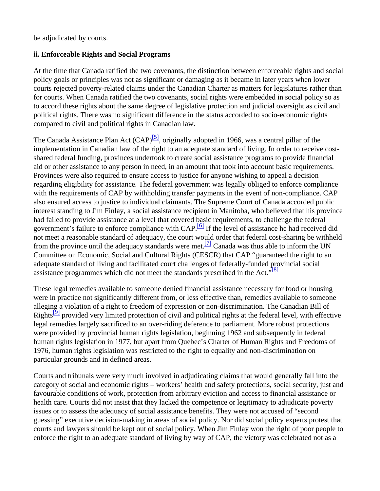be adjudicated by courts.

#### **ii. Enforceable Rights and Social Programs**

At the time that Canada ratified the two covenants, the distinction between enforceable rights and social policy goals or principles was not as significant or damaging as it became in later years when lower courts rejected poverty-related claims under the Canadian Charter as matters for legislatures rather than for courts. When Canada ratified the two covenants, social rights were embedded in social policy so as to accord these rights about the same degree of legislative protection and judicial oversight as civil and political rights. There was no significant difference in the status accorded to socio-economic rights compared to civil and political rights in Canadian law.

The Canada Assistance Plan Act  $(CAP)^{5}$ , originally adopted in 1966, was a central pillar of the implementation in Canadian law of the right to an adequate standard of living. In order to receive costshared federal funding, provinces undertook to create social assistance programs to provide financial aid or other assistance to any person in need, in an amount that took into account basic requirements. Provinces were also required to ensure access to justice for anyone wishing to appeal a decision regarding eligibility for assistance. The federal government was legally obliged to enforce compliance with the requirements of CAP by withholding transfer payments in the event of non-compliance. CAP also ensured access to justice to individual claimants. The Supreme Court of Canada accorded public interest standing to Jim Finlay, a social assistance recipient in Manitoba, who believed that his province had failed to provide assistance at a level that covered basic requirements, to challenge the federal government's failure to enforce compliance with  $CAP<sup>[6]</sup>$  If the level of assistance he had received did not meet a reasonable standard of adequacy, the court would order that federal cost-sharing be withheld from the province until the adequacy standards were met.<sup>[7]</sup> Canada was thus able to inform the UN Committee on Economic, Social and Cultural Rights (CESCR) that CAP "guaranteed the right to an adequate standard of living and facilitated court challenges of federally-funded provincial social assistance programmes which did not meet the standards prescribed in the Act." $[8]$ 

These legal remedies available to someone denied financial assistance necessary for food or housing were in practice not significantly different from, or less effective than, remedies available to someone alleging a violation of a right to freedom of expression or non-discrimination. The Canadian Bill of Rights<sup>[9]</sup> provided very limited protection of civil and political rights at the federal level, with effective legal remedies largely sacrificed to an over-riding deference to parliament. More robust protections were provided by provincial human rights legislation, beginning 1962 and subsequently in federal human rights legislation in 1977, but apart from Quebec's Charter of Human Rights and Freedoms of 1976, human rights legislation was restricted to the right to equality and non-discrimination on particular grounds and in defined areas.

Courts and tribunals were very much involved in adjudicating claims that would generally fall into the category of social and economic rights – workers' health and safety protections, social security, just and favourable conditions of work, protection from arbitrary eviction and access to financial assistance or health care. Courts did not insist that they lacked the competence or legitimacy to adjudicate poverty issues or to assess the adequacy of social assistance benefits. They were not accused of "second guessing" executive decision-making in areas of social policy. Nor did social policy experts protest that courts and lawyers should be kept out of social policy. When Jim Finlay won the right of poor people to enforce the right to an adequate standard of living by way of CAP, the victory was celebrated not as a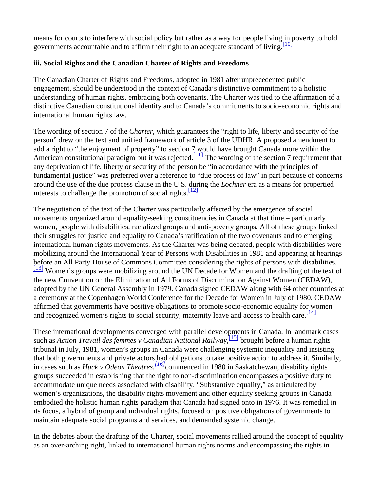means for courts to interfere with social policy but rather as a way for people living in poverty to hold governments accountable and to affirm their right to an adequate standard of living.  $\frac{10}{10}$ 

## **iii. Social Rights and the Canadian Charter of Rights and Freedoms**

The Canadian Charter of Rights and Freedoms, adopted in 1981 after unprecedented public engagement, should be understood in the context of Canada's distinctive commitment to a holistic understanding of human rights, embracing both covenants. The Charter was tied to the affirmation of a distinctive Canadian constitutional identity and to Canada's commitments to socio-economic rights and international human rights law.

The wording of section 7 of the *Charter*, which guarantees the "right to life, liberty and security of the person" drew on the text and unified framework of article 3 of the UDHR. A proposed amendment to add a right to "the enjoyment of property" to section 7 would have brought Canada more within the American constitutional paradigm but it was rejected.<sup>[11]</sup> The wording of the section 7 requirement that any deprivation of life, liberty or security of the person be "in accordance with the principles of fundamental justice" was preferred over a reference to "due process of law" in part because of concerns around the use of the due process clause in the U.S. during the *Lochner* era as a means for propertied interests to challenge the promotion of social rights. $\frac{12}{2}$ 

The negotiation of the text of the Charter was particularly affected by the emergence of social movements organized around equality-seeking constituencies in Canada at that time – particularly women, people with disabilities, racialized groups and anti-poverty groups. All of these groups linked their struggles for justice and equality to Canada's ratification of the two covenants and to emerging international human rights movements. As the Charter was being debated, people with disabilities were mobilizing around the International Year of Persons with Disabilities in 1981 and appearing at hearings before an All Party House of Commons Committee considering the rights of persons with disabilities. <sup>[13]</sup> Women's groups were mobilizing around the UN Decade for Women and the drafting of the text of the new Convention on the Elimination of All Forms of Discrimination Against Women (CEDAW), adopted by the UN General Assembly in 1979. Canada signed CEDAW along with 64 other countries at a ceremony at the Copenhagen World Conference for the Decade for Women in July of 1980. CEDAW affirmed that governments have positive obligations to promote socio-economic equality for women and recognized women's rights to social security, maternity leave and access to health care.  $\frac{14}{14}$ 

These international developments converged with parallel developments in Canada. In landmark cases such as *Action Travail des femmes v Canadian National Railway*, [15] brought before a human rights tribunal in July, 1981, women's groups in Canada were challenging systemic inequality and insisting that both governments and private actors had obligations to take positive action to address it. Similarly, in cases such as *Huck v Odeon Theatres,[16]*commenced in 1980 in Saskatchewan, disability rights groups succeeded in establishing that the right to non-discrimination encompasses a positive duty to accommodate unique needs associated with disability. "Substantive equality," as articulated by women's organizations, the disability rights movement and other equality seeking groups in Canada embodied the holistic human rights paradigm that Canada had signed onto in 1976. It was remedial in its focus, a hybrid of group and individual rights, focused on positive obligations of governments to maintain adequate social programs and services, and demanded systemic change.

In the debates about the drafting of the Charter, social movements rallied around the concept of equality as an over-arching right, linked to international human rights norms and encompassing the rights in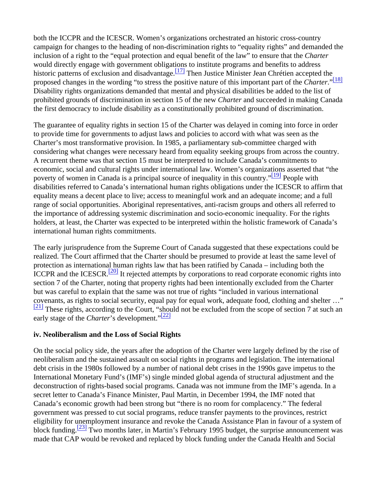both the ICCPR and the ICESCR. Women's organizations orchestrated an historic cross-country campaign for changes to the heading of non-discrimination rights to "equality rights" and demanded the inclusion of a right to the "equal protection and equal benefit of the law" to ensure that the *Charter* would directly engage with government obligations to institute programs and benefits to address historic patterns of exclusion and disadvantage.  $\frac{17}{7}$  Then Justice Minister Jean Chrétien accepted the proposed changes in the wording "to stress the positive nature of this important part of the *Charter*."<sup>[18]</sup> Disability rights organizations demanded that mental and physical disabilities be added to the list of prohibited grounds of discrimination in section 15 of the new *Charter* and succeeded in making Canada the first democracy to include disability as a constitutionally prohibited ground of discrimination.

The guarantee of equality rights in section 15 of the Charter was delayed in coming into force in order to provide time for governments to adjust laws and policies to accord with what was seen as the Charter's most transformative provision. In 1985, a parliamentary sub-committee charged with considering what changes were necessary heard from equality seeking groups from across the country. A recurrent theme was that section 15 must be interpreted to include Canada's commitments to economic, social and cultural rights under international law. Women's organizations asserted that "the poverty of women in Canada is a principal source of inequality in this country."<sup>[19]</sup> People with disabilities referred to Canada's international human rights obligations under the ICESCR to affirm that equality means a decent place to live; access to meaningful work and an adequate income; and a full range of social opportunities. Aboriginal representatives, anti-racism groups and others all referred to the importance of addressing systemic discrimination and socio-economic inequality. For the rights holders, at least, the Charter was expected to be interpreted within the holistic framework of Canada's international human rights commitments.

The early jurisprudence from the Supreme Court of Canada suggested that these expectations could be realized. The Court affirmed that the Charter should be presumed to provide at least the same level of protection as international human rights law that has been ratified by Canada – including both the ICCPR and the ICESCR.<sup>[20]</sup> It rejected attempts by corporations to read corporate economic rights into section 7 of the Charter, noting that property rights had been intentionally excluded from the Charter but was careful to explain that the same was not true of rights "included in various international covenants, as rights to social security, equal pay for equal work, adequate food, clothing and shelter …"  $\frac{[21]}{[21]}$  These rights, according to the Court, "should not be excluded from the scope of section 7 at such an early stage of the *Charter*'s development."<sup>[22]</sup>

## **iv. Neoliberalism and the Loss of Social Rights**

On the social policy side, the years after the adoption of the Charter were largely defined by the rise of neoliberalism and the sustained assault on social rights in programs and legislation. The international debt crisis in the 1980s followed by a number of national debt crises in the 1990s gave impetus to the International Monetary Fund's (IMF's) single minded global agenda of structural adjustment and the deconstruction of rights-based social programs. Canada was not immune from the IMF's agenda. In a secret letter to Canada's Finance Minister, Paul Martin, in December 1994, the IMF noted that Canada's economic growth had been strong but "there is no room for complacency." The federal government was pressed to cut social programs, reduce transfer payments to the provinces, restrict eligibility for unemployment insurance and revoke the Canada Assistance Plan in favour of a system of block funding.<sup>[23]</sup> Two months later, in Martin's February 1995 budget, the surprise announcement was made that CAP would be revoked and replaced by block funding under the Canada Health and Social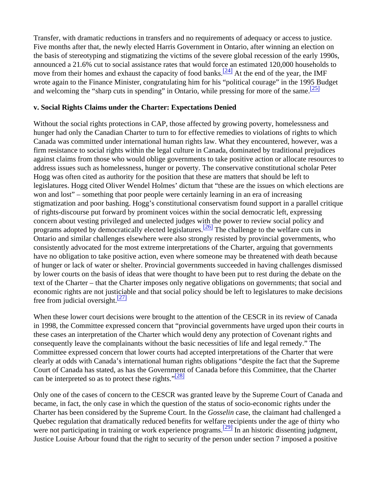Transfer, with dramatic reductions in transfers and no requirements of adequacy or access to justice. Five months after that, the newly elected Harris Government in Ontario, after winning an election on the basis of stereotyping and stigmatizing the victims of the severe global recession of the early 1990s, announced a 21.6% cut to social assistance rates that would force an estimated 120,000 households to move from their homes and exhaust the capacity of food banks.<sup>[24]</sup> At the end of the year, the IMF wrote again to the Finance Minister, congratulating him for his "political courage" in the 1995 Budget and welcoming the "sharp cuts in spending" in Ontario, while pressing for more of the same.  $\frac{[25]}{[25]}$ 

#### **v. Social Rights Claims under the Charter: Expectations Denied**

Without the social rights protections in CAP, those affected by growing poverty, homelessness and hunger had only the Canadian Charter to turn to for effective remedies to violations of rights to which Canada was committed under international human rights law. What they encountered, however, was a firm resistance to social rights within the legal culture in Canada, dominated by traditional prejudices against claims from those who would oblige governments to take positive action or allocate resources to address issues such as homelessness, hunger or poverty. The conservative constitutional scholar Peter Hogg was often cited as authority for the position that these are matters that should be left to legislatures. Hogg cited Oliver Wendel Holmes' dictum that "these are the issues on which elections are won and lost" – something that poor people were certainly learning in an era of increasing stigmatization and poor bashing. Hogg's constitutional conservatism found support in a parallel critique of rights-discourse put forward by prominent voices within the social democratic left, expressing concern about vesting privileged and unelected judges with the power to review social policy and programs adopted by democratically elected legislatures.<sup>[26]</sup> The challenge to the welfare cuts in Ontario and similar challenges elsewhere were also strongly resisted by provincial governments, who consistently advocated for the most extreme interpretations of the Charter, arguing that governments have no obligation to take positive action, even where someone may be threatened with death because of hunger or lack of water or shelter. Provincial governments succeeded in having challenges dismissed by lower courts on the basis of ideas that were thought to have been put to rest during the debate on the text of the Charter – that the Charter imposes only negative obligations on governments; that social and economic rights are not justiciable and that social policy should be left to legislatures to make decisions free from judicial oversight. $\frac{[27]}{[27]}$ 

When these lower court decisions were brought to the attention of the CESCR in its review of Canada in 1998, the Committee expressed concern that "provincial governments have urged upon their courts in these cases an interpretation of the Charter which would deny any protection of Covenant rights and consequently leave the complainants without the basic necessities of life and legal remedy." The Committee expressed concern that lower courts had accepted interpretations of the Charter that were clearly at odds with Canada's international human rights obligations "despite the fact that the Supreme Court of Canada has stated, as has the Government of Canada before this Committee, that the Charter can be interpreted so as to protect these rights." $\frac{28}{28}$ 

Only one of the cases of concern to the CESCR was granted leave by the Supreme Court of Canada and became, in fact, the only case in which the question of the status of socio-economic rights under the Charter has been considered by the Supreme Court. In the *Gosselin* case, the claimant had challenged a Quebec regulation that dramatically reduced benefits for welfare recipients under the age of thirty who were not participating in training or work experience programs.<sup>[29]</sup> In an historic dissenting judgment, Justice Louise Arbour found that the right to security of the person under section 7 imposed a positive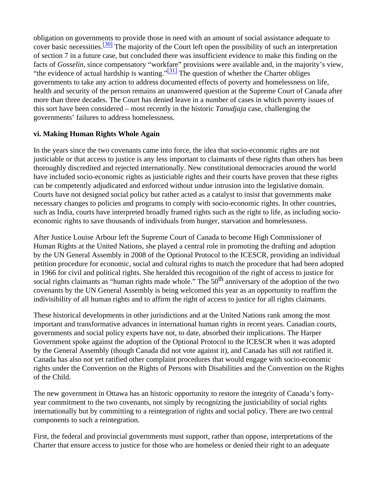obligation on governments to provide those in need with an amount of social assistance adequate to cover basic necessities.  $\frac{30}{100}$  The majority of the Court left open the possibility of such an interpretation of section 7 in a future case, but concluded there was insufficient evidence to make this finding on the facts of *Gosselin*, since compensatory "workfare" provisions were available and, in the majority's view, "the evidence of actual hardship is wanting." $\frac{[31]}{]}$  The question of whether the Charter obliges governments to take any action to address documented effects of poverty and homelessness on life, health and security of the person remains an unanswered question at the Supreme Court of Canada after more than three decades. The Court has denied leave in a number of cases in which poverty issues of this sort have been considered – most recently in the historic *Tanudjaja* case, challenging the governments' failures to address homelessness.

## **vi. Making Human Rights Whole Again**

In the years since the two covenants came into force, the idea that socio-economic rights are not justiciable or that access to justice is any less important to claimants of these rights than others has been thoroughly discredited and rejected internationally. New constitutional democracies around the world have included socio-economic rights as justiciable rights and their courts have proven that these rights can be competently adjudicated and enforced without undue intrusion into the legislative domain. Courts have not designed social policy but rather acted as a catalyst to insist that governments make necessary changes to policies and programs to comply with socio-economic rights. In other countries, such as India, courts have interpreted broadly framed rights such as the right to life, as including socioeconomic rights to save thousands of individuals from hunger, starvation and homelessness.

After Justice Louise Arbour left the Supreme Court of Canada to become High Commissioner of Human Rights at the United Nations, she played a central role in promoting the drafting and adoption by the UN General Assembly in 2008 of the Optional Protocol to the ICESCR, providing an individual petition procedure for economic, social and cultural rights to match the procedure that had been adopted in 1966 for civil and political rights. She heralded this recognition of the right of access to justice for social rights claimants as "human rights made whole." The 50<sup>th</sup> anniversary of the adoption of the two covenants by the UN General Assembly is being welcomed this year as an opportunity to reaffirm the indivisibility of all human rights and to affirm the right of access to justice for all rights claimants.

These historical developments in other jurisdictions and at the United Nations rank among the most important and transformative advances in international human rights in recent years. Canadian courts, governments and social policy experts have not, to date, absorbed their implications. The Harper Government spoke against the adoption of the Optional Protocol to the ICESCR when it was adopted by the General Assembly (though Canada did not vote against it), and Canada has still not ratified it. Canada has also not yet ratified other complaint procedures that would engage with socio-economic rights under the Convention on the Rights of Persons with Disabilities and the Convention on the Rights of the Child.

The new government in Ottawa has an historic opportunity to restore the integrity of Canada's fortyyear commitment to the two covenants, not simply by recognizing the justiciability of social rights internationally but by committing to a reintegration of rights and social policy. There are two central components to such a reintegration.

First, the federal and provincial governments must support, rather than oppose, interpretations of the Charter that ensure access to justice for those who are homeless or denied their right to an adequate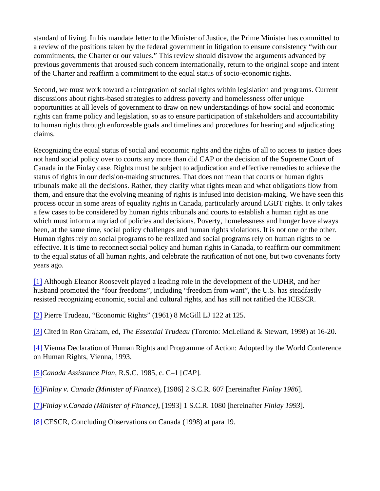standard of living. In his mandate letter to the Minister of Justice, the Prime Minister has committed to a review of the positions taken by the federal government in litigation to ensure consistency "with our commitments, the Charter or our values." This review should disavow the arguments advanced by previous governments that aroused such concern internationally, return to the original scope and intent of the Charter and reaffirm a commitment to the equal status of socio-economic rights.

Second, we must work toward a reintegration of social rights within legislation and programs. Current discussions about rights-based strategies to address poverty and homelessness offer unique opportunities at all levels of government to draw on new understandings of how social and economic rights can frame policy and legislation, so as to ensure participation of stakeholders and accountability to human rights through enforceable goals and timelines and procedures for hearing and adjudicating claims.

Recognizing the equal status of social and economic rights and the rights of all to access to justice does not hand social policy over to courts any more than did CAP or the decision of the Supreme Court of Canada in the Finlay case. Rights must be subject to adjudication and effective remedies to achieve the status of rights in our decision-making structures. That does not mean that courts or human rights tribunals make all the decisions. Rather, they clarify what rights mean and what obligations flow from them, and ensure that the evolving meaning of rights is infused into decision-making. We have seen this process occur in some areas of equality rights in Canada, particularly around LGBT rights. It only takes a few cases to be considered by human rights tribunals and courts to establish a human right as one which must inform a myriad of policies and decisions. Poverty, homelessness and hunger have always been, at the same time, social policy challenges and human rights violations. It is not one or the other. Human rights rely on social programs to be realized and social programs rely on human rights to be effective. It is time to reconnect social policy and human rights in Canada, to reaffirm our commitment to the equal status of all human rights, and celebrate the ratification of not one, but two covenants forty years ago.

[\[1\]](/home/thephila/public_html/#_ftnref1) Although Eleanor Roosevelt played a leading role in the development of the UDHR, and her husband promoted the "four freedoms", including "freedom from want", the U.S. has steadfastly resisted recognizing economic, social and cultural rights, and has still not ratified the ICESCR.

[\[2\]](/home/thephila/public_html/#_ftnref2) Pierre Trudeau, "Economic Rights" (1961) 8 McGill LJ 122 at 125.

[\[3\]](/home/thephila/public_html/#_ftnref3) Cited in Ron Graham, ed, *The Essential Trudeau* (Toronto: McLelland & Stewart, 1998) at 16-20.

[\[4\]](/home/thephila/public_html/#_ftnref4) Vienna Declaration of Human Rights and Programme of Action: Adopted by the World Conference on Human Rights, Vienna, 1993.

[\[5\]](/home/thephila/public_html/#_ftnref5)*Canada Assistance Plan*, R.S.C. 1985, c. C–1 [*CAP*].

[\[6\]](/home/thephila/public_html/#_ftnref6)*Finlay v. Canada (Minister of Finance*), [1986] 2 S.C.R. 607 [hereinafter *Finlay 1986*].

[\[7\]](/home/thephila/public_html/#_ftnref7)*Finlay v.Canada (Minister of Finance)*, [1993] 1 S.C.R. 1080 [hereinafter *Finlay 1993*].

[\[8\]](/home/thephila/public_html/#_ftnref8) CESCR, Concluding Observations on Canada (1998) at para 19.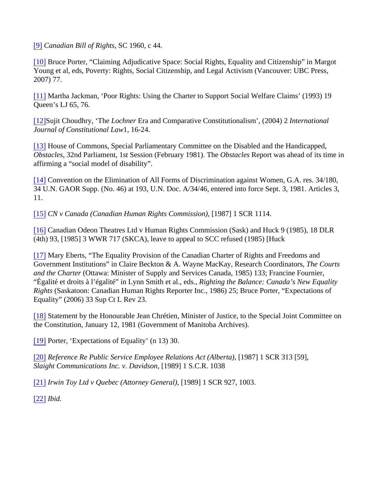[\[9\]](/home/thephila/public_html/#_ftnref9) *Canadian Bill of Rights*, SC 1960, c 44.

[\[10\]](/home/thephila/public_html/#_ftnref10) Bruce Porter, "Claiming Adjudicative Space: Social Rights, Equality and Citizenship" in Margot Young et al, eds, Poverty: Rights, Social Citizenship, and Legal Activism (Vancouver: UBC Press, 2007) 77.

[\[11\]](/home/thephila/public_html/#_ftnref11) Martha Jackman, 'Poor Rights: Using the Charter to Support Social Welfare Claims' (1993) 19 Queen's LJ 65, 76.

[\[12\]S](/home/thephila/public_html/#_ftnref12)ujit Choudhry, 'The *Lochner* Era and Comparative Constitutionalism', (2004) 2 *International Journal of Constitutional Law*1, 16-24.

[\[13\]](/home/thephila/public_html/#_ftnref13) House of Commons, Special Parliamentary Committee on the Disabled and the Handicapped, *Obstacles*, 32nd Parliament, 1st Session (February 1981). The *Obstacles* Report was ahead of its time in affirming a "social model of disability".

[\[14\]](/home/thephila/public_html/#_ftnref14) Convention on the Elimination of All Forms of Discrimination against Women, G.A. res. 34/180, 34 U.N. GAOR Supp. (No. 46) at 193, U.N. Doc. A/34/46, entered into force Sept. 3, 1981. Articles 3, 11.

[\[15\]](/home/thephila/public_html/#_ftnref15) *CN v Canada (Canadian Human Rights Commission),* [1987] 1 SCR 1114.

[\[16\]](/home/thephila/public_html/#_ftnref16) Canadian Odeon Theatres Ltd v Human Rights Commission (Sask) and Huck 9 (1985), 18 DLR (4th) 93, [1985] 3 WWR 717 (SKCA), leave to appeal to SCC refused (1985) [Huck

[\[17\]](/home/thephila/public_html/#_ftnref17) Mary Eberts, "The Equality Provision of the Canadian Charter of Rights and Freedoms and Government Institutions" in Claire Beckton & A. Wayne MacKay, Research Coordinators, *The Courts and the Charter* (Ottawa: Minister of Supply and Services Canada, 1985) 133; Francine Fournier, "Égalité et droits à l'égalité" in Lynn Smith et al., eds., *Righting the Balance: Canada's New Equality Rights* (Saskatoon: Canadian Human Rights Reporter Inc., 1986) 25; Bruce Porter, "Expectations of Equality" (2006) 33 Sup Ct L Rev 23.

[\[18\]](/home/thephila/public_html/#_ftnref18) Statement by the Honourable Jean Chrétien, Minister of Justice, to the Special Joint Committee on the Constitution, January 12, 1981 (Government of Manitoba Archives).

[\[19\]](/home/thephila/public_html/#_ftnref19) Porter, 'Expectations of Equality' (n 13) 30.

[\[20\]](/home/thephila/public_html/#_ftnref20) *Reference Re Public Service Employee Relations Act (Alberta)*, [1987] 1 SCR 313 [59], *Slaight Communications Inc. v. Davidson*, [1989] 1 S.C.R. 1038

[\[21\]](/home/thephila/public_html/#_ftnref21) *Irwin Toy Ltd v Quebec (Attorney General)*, [1989] 1 SCR 927, 1003.

[\[22\]](/home/thephila/public_html/#_ftnref22) *Ibid.*